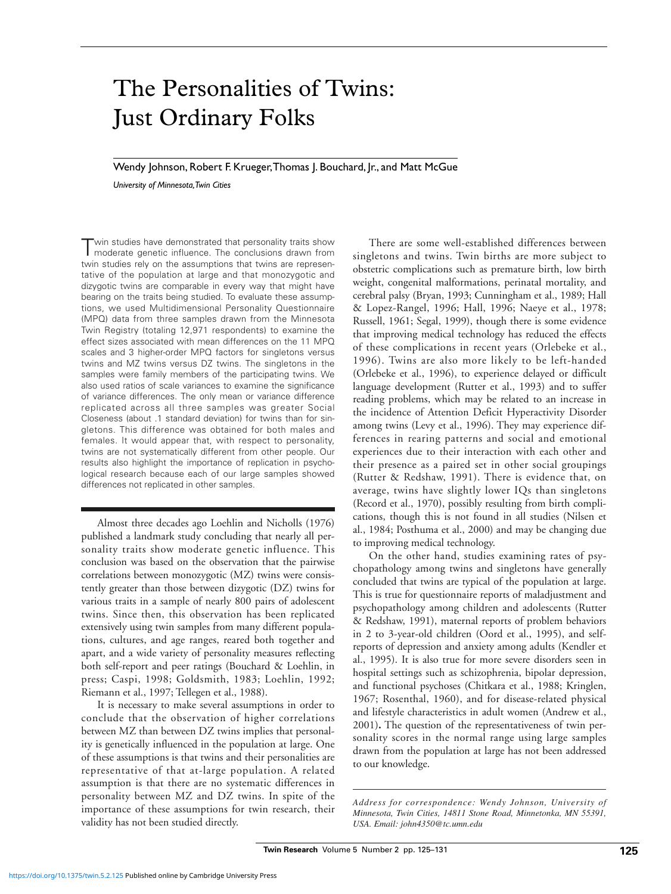# The Personalities of Twins: Just Ordinary Folks

Wendy Johnson, Robert F. Krueger, Thomas J. Bouchard, Jr., and Matt McGue

*University of Minnesota,Twin Cities*

Twin studies have demonstrated that personality traits show moderate genetic influence. The conclusions drawn from twin studies rely on the assumptions that twins are representative of the population at large and that monozygotic and dizygotic twins are comparable in every way that might have bearing on the traits being studied. To evaluate these assumptions, we used Multidimensional Personality Questionnaire (MPQ) data from three samples drawn from the Minnesota Twin Registry (totaling 12,971 respondents) to examine the effect sizes associated with mean differences on the 11 MPQ scales and 3 higher-order MPQ factors for singletons versus twins and MZ twins versus DZ twins. The singletons in the samples were family members of the participating twins. We also used ratios of scale variances to examine the significance of variance differences. The only mean or variance difference replicated across all three samples was greater Social Closeness (about .1 standard deviation) for twins than for singletons. This difference was obtained for both males and females. It would appear that, with respect to personality, twins are not systematically different from other people. Our results also highlight the importance of replication in psychological research because each of our large samples showed differences not replicated in other samples.

Almost three decades ago Loehlin and Nicholls (1976) published a landmark study concluding that nearly all personality traits show moderate genetic influence. This conclusion was based on the observation that the pairwise correlations between monozygotic (MZ) twins were consistently greater than those between dizygotic (DZ) twins for various traits in a sample of nearly 800 pairs of adolescent twins. Since then, this observation has been replicated extensively using twin samples from many different populations, cultures, and age ranges, reared both together and apart, and a wide variety of personality measures reflecting both self-report and peer ratings (Bouchard & Loehlin, in press; Caspi, 1998; Goldsmith, 1983; Loehlin, 1992; Riemann et al., 1997; Tellegen et al., 1988).

It is necessary to make several assumptions in order to conclude that the observation of higher correlations between MZ than between DZ twins implies that personality is genetically influenced in the population at large. One of these assumptions is that twins and their personalities are representative of that at-large population. A related assumption is that there are no systematic differences in personality between MZ and DZ twins. In spite of the importance of these assumptions for twin research, their validity has not been studied directly.

There are some well-established differences between singletons and twins. Twin births are more subject to obstetric complications such as premature birth, low birth weight, congenital malformations, perinatal mortality, and cerebral palsy (Bryan, 1993; Cunningham et al., 1989; Hall & Lopez-Rangel, 1996; Hall, 1996; Naeye et al., 1978; Russell, 1961; Segal, 1999), though there is some evidence that improving medical technology has reduced the effects of these complications in recent years (Orlebeke et al., 1996). Twins are also more likely to be left-handed (Orlebeke et al., 1996), to experience delayed or difficult language development (Rutter et al., 1993) and to suffer reading problems, which may be related to an increase in the incidence of Attention Deficit Hyperactivity Disorder among twins (Levy et al., 1996). They may experience differences in rearing patterns and social and emotional experiences due to their interaction with each other and their presence as a paired set in other social groupings (Rutter & Redshaw, 1991). There is evidence that, on average, twins have slightly lower IQs than singletons (Record et al., 1970), possibly resulting from birth complications, though this is not found in all studies (Nilsen et al., 1984; Posthuma et al., 2000) and may be changing due to improving medical technology.

On the other hand, studies examining rates of psychopathology among twins and singletons have generally concluded that twins are typical of the population at large. This is true for questionnaire reports of maladjustment and psychopathology among children and adolescents (Rutter & Redshaw, 1991), maternal reports of problem behaviors in 2 to 3-year-old children (Oord et al., 1995), and selfreports of depression and anxiety among adults (Kendler et al., 1995). It is also true for more severe disorders seen in hospital settings such as schizophrenia, bipolar depression, and functional psychoses (Chitkara et al., 1988; Kringlen, 1967; Rosenthal, 1960), and for disease-related physical and lifestyle characteristics in adult women (Andrew et al., 2001)**.** The question of the representativeness of twin personality scores in the normal range using large samples drawn from the population at large has not been addressed to our knowledge.

*Address for correspondence: Wendy Johnson, University of Minnesota, Twin Cities, 14811 Stone Road, Minnetonka, MN 55391, USA. Email: john4350@tc.umn.edu*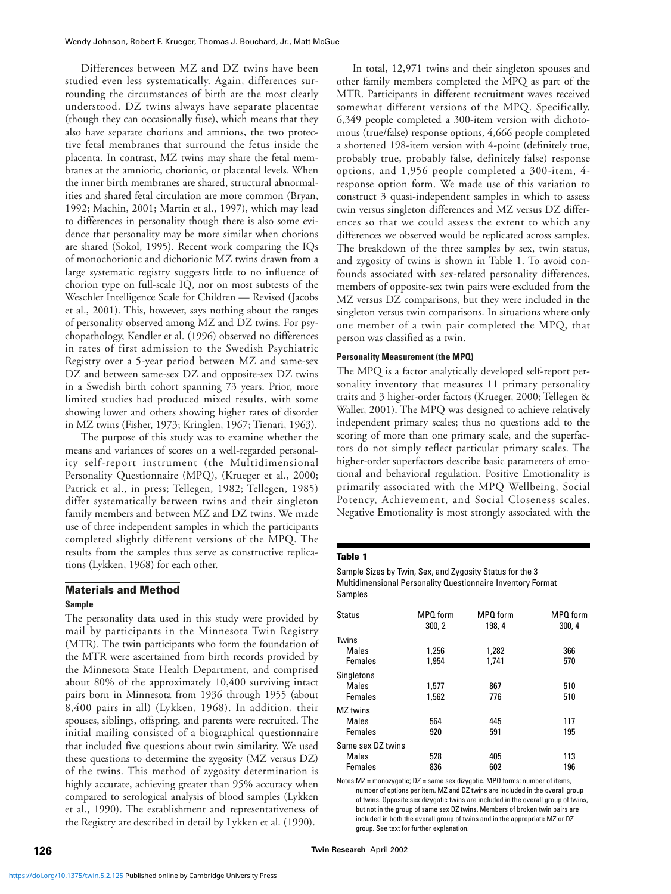Differences between MZ and DZ twins have been studied even less systematically. Again, differences surrounding the circumstances of birth are the most clearly understood. DZ twins always have separate placentae (though they can occasionally fuse), which means that they also have separate chorions and amnions, the two protective fetal membranes that surround the fetus inside the placenta. In contrast, MZ twins may share the fetal membranes at the amniotic, chorionic, or placental levels. When the inner birth membranes are shared, structural abnormalities and shared fetal circulation are more common (Bryan, 1992; Machin, 2001; Martin et al., 1997), which may lead to differences in personality though there is also some evidence that personality may be more similar when chorions are shared (Sokol, 1995). Recent work comparing the IQs of monochorionic and dichorionic MZ twins drawn from a large systematic registry suggests little to no influence of chorion type on full-scale IQ, nor on most subtests of the Weschler Intelligence Scale for Children — Revised (Jacobs et al., 2001). This, however, says nothing about the ranges of personality observed among MZ and DZ twins. For psychopathology, Kendler et al. (1996) observed no differences in rates of first admission to the Swedish Psychiatric Registry over a 5-year period between MZ and same-sex DZ and between same-sex DZ and opposite-sex DZ twins in a Swedish birth cohort spanning 73 years. Prior, more limited studies had produced mixed results, with some showing lower and others showing higher rates of disorder in MZ twins (Fisher, 1973; Kringlen, 1967; Tienari, 1963).

The purpose of this study was to examine whether the means and variances of scores on a well-regarded personality self-report instrument (the Multidimensional Personality Questionnaire (MPQ), (Krueger et al., 2000; Patrick et al., in press; Tellegen, 1982; Tellegen, 1985) differ systematically between twins and their singleton family members and between MZ and DZ twins. We made use of three independent samples in which the participants completed slightly different versions of the MPQ. The results from the samples thus serve as constructive replications (Lykken, 1968) for each other.

# **Materials and Method Sample**

The personality data used in this study were provided by mail by participants in the Minnesota Twin Registry (MTR). The twin participants who form the foundation of the MTR were ascertained from birth records provided by the Minnesota State Health Department, and comprised about 80% of the approximately 10,400 surviving intact pairs born in Minnesota from 1936 through 1955 (about 8,400 pairs in all) (Lykken, 1968). In addition, their spouses, siblings, offspring, and parents were recruited. The initial mailing consisted of a biographical questionnaire that included five questions about twin similarity. We used these questions to determine the zygosity (MZ versus DZ) of the twins. This method of zygosity determination is highly accurate, achieving greater than 95% accuracy when compared to serological analysis of blood samples (Lykken et al., 1990). The establishment and representativeness of the Registry are described in detail by Lykken et al. (1990).

In total, 12,971 twins and their singleton spouses and other family members completed the MPQ as part of the MTR. Participants in different recruitment waves received somewhat different versions of the MPQ. Specifically, 6,349 people completed a 300-item version with dichotomous (true/false) response options, 4,666 people completed a shortened 198-item version with 4-point (definitely true, probably true, probably false, definitely false) response options, and 1,956 people completed a 300-item, 4 response option form. We made use of this variation to construct 3 quasi-independent samples in which to assess twin versus singleton differences and MZ versus DZ differences so that we could assess the extent to which any differences we observed would be replicated across samples. The breakdown of the three samples by sex, twin status, and zygosity of twins is shown in Table 1. To avoid confounds associated with sex-related personality differences, members of opposite-sex twin pairs were excluded from the MZ versus DZ comparisons, but they were included in the singleton versus twin comparisons. In situations where only one member of a twin pair completed the MPQ, that person was classified as a twin.

#### **Personality Measurement (the MPQ)**

The MPQ is a factor analytically developed self-report personality inventory that measures 11 primary personality traits and 3 higher-order factors (Krueger, 2000; Tellegen & Waller, 2001). The MPQ was designed to achieve relatively independent primary scales; thus no questions add to the scoring of more than one primary scale, and the superfactors do not simply reflect particular primary scales. The higher-order superfactors describe basic parameters of emotional and behavioral regulation. Positive Emotionality is primarily associated with the MPQ Wellbeing, Social Potency, Achievement, and Social Closeness scales. Negative Emotionality is most strongly associated with the

#### **Table 1**

Sample Sizes by Twin, Sex, and Zygosity Status for the 3 Multidimensional Personality Questionnaire Inventory Format Samples

| Status            | MPO form<br>300, 2 | MPQ form<br>198, 4 | MPQ form<br>300, 4 |
|-------------------|--------------------|--------------------|--------------------|
| Twins             |                    |                    |                    |
| Males             | 1,256              | 1,282              | 366                |
| Females           | 1.954              | 1.741              | 570                |
| Singletons        |                    |                    |                    |
| Males             | 1.577              | 867                | 510                |
| <b>Females</b>    | 1.562              | 776                | 510                |
| MZ twins          |                    |                    |                    |
| Males             | 564                | 445                | 117                |
| Females           | 920                | 591                | 195                |
| Same sex DZ twins |                    |                    |                    |
| Males             | 528                | 405                | 113                |
| Females           | 836                | 602                | 196                |

Notes:MZ = monozygotic; DZ = same sex dizygotic. MPQ forms: number of items, number of options per item. MZ and DZ twins are included in the overall group of twins. Opposite sex dizygotic twins are included in the overall group of twins, but not in the group of same sex DZ twins. Members of broken twin pairs are included in both the overall group of twins and in the appropriate MZ or DZ group. See text for further explanation.

**126 Twin Research** April 2002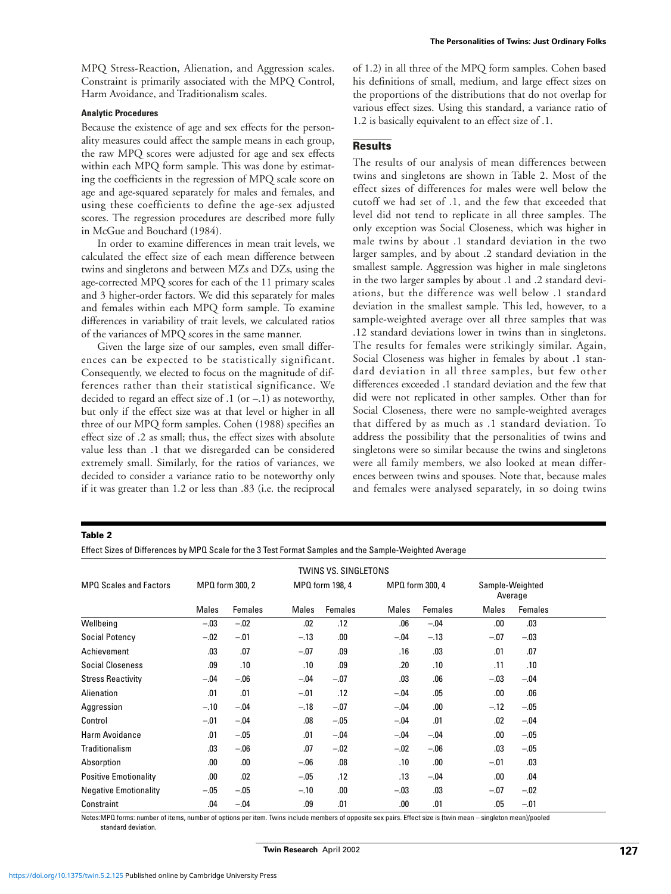MPQ Stress-Reaction, Alienation, and Aggression scales. Constraint is primarily associated with the MPQ Control, Harm Avoidance, and Traditionalism scales.

#### **Analytic Procedures**

Because the existence of age and sex effects for the personality measures could affect the sample means in each group, the raw MPQ scores were adjusted for age and sex effects within each MPQ form sample. This was done by estimating the coefficients in the regression of MPQ scale score on age and age-squared separately for males and females, and using these coefficients to define the age-sex adjusted scores. The regression procedures are described more fully in McGue and Bouchard (1984).

In order to examine differences in mean trait levels, we calculated the effect size of each mean difference between twins and singletons and between MZs and DZs, using the age-corrected MPQ scores for each of the 11 primary scales and 3 higher-order factors. We did this separately for males and females within each MPQ form sample. To examine differences in variability of trait levels, we calculated ratios of the variances of MPQ scores in the same manner.

Given the large size of our samples, even small differences can be expected to be statistically significant. Consequently, we elected to focus on the magnitude of differences rather than their statistical significance. We decided to regard an effect size of  $.1$  (or  $-.1$ ) as noteworthy, but only if the effect size was at that level or higher in all three of our MPQ form samples. Cohen (1988) specifies an effect size of .2 as small; thus, the effect sizes with absolute value less than .1 that we disregarded can be considered extremely small. Similarly, for the ratios of variances, we decided to consider a variance ratio to be noteworthy only if it was greater than 1.2 or less than .83 (i.e. the reciprocal

of 1.2) in all three of the MPQ form samples. Cohen based his definitions of small, medium, and large effect sizes on the proportions of the distributions that do not overlap for various effect sizes. Using this standard, a variance ratio of 1.2 is basically equivalent to an effect size of .1.

# **Results**

The results of our analysis of mean differences between twins and singletons are shown in Table 2. Most of the effect sizes of differences for males were well below the cutoff we had set of .1, and the few that exceeded that level did not tend to replicate in all three samples. The only exception was Social Closeness, which was higher in male twins by about .1 standard deviation in the two larger samples, and by about .2 standard deviation in the smallest sample. Aggression was higher in male singletons in the two larger samples by about .1 and .2 standard deviations, but the difference was well below .1 standard deviation in the smallest sample. This led, however, to a sample-weighted average over all three samples that was .12 standard deviations lower in twins than in singletons. The results for females were strikingly similar. Again, Social Closeness was higher in females by about .1 standard deviation in all three samples, but few other differences exceeded .1 standard deviation and the few that did were not replicated in other samples. Other than for Social Closeness, there were no sample-weighted averages that differed by as much as .1 standard deviation. To address the possibility that the personalities of twins and singletons were so similar because the twins and singletons were all family members, we also looked at mean differences between twins and spouses. Note that, because males and females were analysed separately, in so doing twins

**Table 2**

Effect Sizes of Differences by MPQ Scale for the 3 Test Format Samples and the Sample-Weighted Average

| TWINS VS. SINGLETONS          |                 |         |        |                 |        |                 |        |                            |  |
|-------------------------------|-----------------|---------|--------|-----------------|--------|-----------------|--------|----------------------------|--|
| <b>MPQ Scales and Factors</b> | MPQ form 300, 2 |         |        | MPQ form 198, 4 |        | MPQ form 300, 4 |        | Sample-Weighted<br>Average |  |
|                               | Males           | Females | Males  | Females         | Males  | Females         | Males  | Females                    |  |
| Wellbeing                     | $-.03$          | $-.02$  | .02    | .12             | .06    | $-.04$          | .00.   | .03                        |  |
| Social Potency                | $-.02$          | $-.01$  | $-.13$ | .00             | $-.04$ | $-.13$          | $-.07$ | $-.03$                     |  |
| Achievement                   | .03             | .07     | $-.07$ | .09             | .16    | .03             | .01    | .07                        |  |
| <b>Social Closeness</b>       | .09             | .10     | .10    | .09             | .20    | .10             | .11    | .10                        |  |
| <b>Stress Reactivity</b>      | $-.04$          | $-.06$  | $-.04$ | $-.07$          | .03    | .06             | $-.03$ | $-.04$                     |  |
| Alienation                    | .01             | .01     | $-.01$ | .12             | $-.04$ | .05             | .00    | .06                        |  |
| Aggression                    | $-.10$          | $-.04$  | $-.18$ | $-.07$          | $-.04$ | .00             | $-.12$ | $-.05$                     |  |
| Control                       | $-01$           | $-.04$  | .08    | $-.05$          | $-.04$ | .01             | .02    | $-.04$                     |  |
| <b>Harm Avoidance</b>         | .01             | $-.05$  | .01    | $-.04$          | $-.04$ | $-.04$          | .00.   | $-.05$                     |  |
| Traditionalism                | .03             | $-.06$  | .07    | $-.02$          | $-.02$ | $-06$           | .03    | $-.05$                     |  |
| Absorption                    | .00             | .00.    | $-.06$ | .08             | .10    | .00             | $-.01$ | .03                        |  |
| <b>Positive Emotionality</b>  | .00             | .02     | $-.05$ | .12             | .13    | $-.04$          | .00    | .04                        |  |
| <b>Negative Emotionality</b>  | $-.05$          | $-.05$  | $-.10$ | .00             | $-.03$ | .03             | $-.07$ | $-.02$                     |  |
| Constraint                    | .04             | $-.04$  | .09    | .01             | .00    | .01             | .05    | $-.01$                     |  |

Notes:MPQ forms: number of items, number of options per item. Twins include members of opposite sex pairs. Effect size is (twin mean – singleton mean)/pooled standard deviation.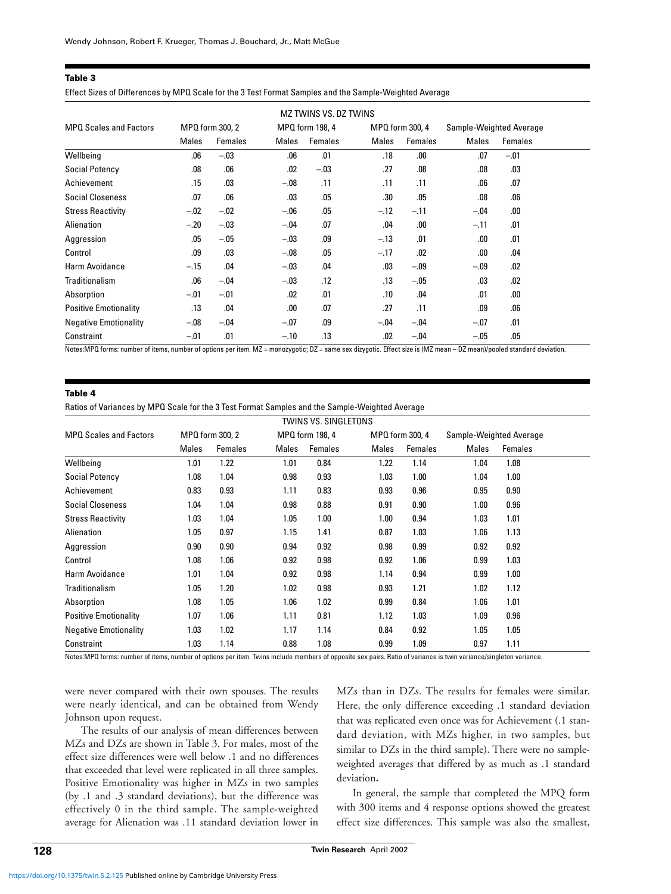### **Table 3**

|  |  |  | Effect Sizes of Differences by MPQ Scale for the 3 Test Format Samples and the Sample-Weighted Average |  |  |
|--|--|--|--------------------------------------------------------------------------------------------------------|--|--|
|  |  |  |                                                                                                        |  |  |

|                               | MZ TWINS VS. DZ TWINS |                 |        |                 |        |                 |                         |         |  |
|-------------------------------|-----------------------|-----------------|--------|-----------------|--------|-----------------|-------------------------|---------|--|
| <b>MPQ Scales and Factors</b> |                       | MPQ form 300, 2 |        | MPQ form 198, 4 |        | MPQ form 300, 4 | Sample-Weighted Average |         |  |
|                               | Males                 | Females         | Males  | Females         | Males  | Females         | <b>Males</b>            | Females |  |
| Wellbeing                     | .06                   | $-.03$          | .06    | .01             | .18    | .00.            | .07                     | $-01$   |  |
| <b>Social Potency</b>         | .08                   | .06             | .02    | $-.03$          | .27    | .08             | .08                     | .03     |  |
| Achievement                   | .15                   | .03             | $-.08$ | .11             | .11    | .11             | .06                     | .07     |  |
| <b>Social Closeness</b>       | .07                   | .06             | .03    | .05             | .30    | .05             | .08                     | .06     |  |
| <b>Stress Reactivity</b>      | $-.02$                | $-.02$          | $-.06$ | .05             | $-.12$ | $-.11$          | $-.04$                  | .00     |  |
| Alienation                    | $-.20$                | $-.03$          | $-.04$ | .07             | .04    | .00.            | $-.11$                  | .01     |  |
| Aggression                    | .05                   | $-.05$          | $-.03$ | .09             | $-.13$ | .01             | .00                     | .01     |  |
| Control                       | .09                   | .03             | $-.08$ | .05             | $-.17$ | .02             | .00                     | .04     |  |
| <b>Harm Avoidance</b>         | $-.15$                | .04             | $-.03$ | .04             | .03    | $-.09$          | $-.09$                  | .02     |  |
| Traditionalism                | .06                   | $-.04$          | $-.03$ | .12             | .13    | $-.05$          | .03                     | .02     |  |
| Absorption                    | $-.01$                | $-.01$          | .02    | .01             | .10    | .04             | .01                     | .00     |  |
| <b>Positive Emotionality</b>  | .13                   | .04             | .00    | .07             | .27    | .11             | .09                     | .06     |  |
| <b>Negative Emotionality</b>  | $-.08$                | $-.04$          | $-.07$ | .09             | $-.04$ | $-.04$          | $-.07$                  | .01     |  |
| Constraint                    | $-.01$                | .01             | $-.10$ | .13             | .02    | $-.04$          | $-.05$                  | .05     |  |

Notes:MPQ forms: number of items, number of options per item. MZ = monozygotic; DZ = same sex dizygotic. Effect size is (MZ mean – DZ mean)/pooled standard deviation.

#### **Table 4**

Ratios of Variances by MPQ Scale for the 3 Test Format Samples and the Sample-Weighted Average

|                               | TWINS VS. SINGLETONS |         |       |                 |       |                 |       |                         |  |
|-------------------------------|----------------------|---------|-------|-----------------|-------|-----------------|-------|-------------------------|--|
| <b>MPQ Scales and Factors</b> | MPQ form 300, 2      |         |       | MPQ form 198, 4 |       | MPQ form 300, 4 |       | Sample-Weighted Average |  |
|                               | Males                | Females | Males | Females         | Males | Females         | Males | Females                 |  |
| Wellbeing                     | 1.01                 | 1.22    | 1.01  | 0.84            | 1.22  | 1.14            | 1.04  | 1.08                    |  |
| <b>Social Potency</b>         | 1.08                 | 1.04    | 0.98  | 0.93            | 1.03  | 1.00            | 1.04  | 1.00                    |  |
| Achievement                   | 0.83                 | 0.93    | 1.11  | 0.83            | 0.93  | 0.96            | 0.95  | 0.90                    |  |
| <b>Social Closeness</b>       | 1.04                 | 1.04    | 0.98  | 0.88            | 0.91  | 0.90            | 1.00  | 0.96                    |  |
| <b>Stress Reactivity</b>      | 1.03                 | 1.04    | 1.05  | 1.00            | 1.00  | 0.94            | 1.03  | 1.01                    |  |
| Alienation                    | 1.05                 | 0.97    | 1.15  | 1.41            | 0.87  | 1.03            | 1.06  | 1.13                    |  |
| Aggression                    | 0.90                 | 0.90    | 0.94  | 0.92            | 0.98  | 0.99            | 0.92  | 0.92                    |  |
| Control                       | 1.08                 | 1.06    | 0.92  | 0.98            | 0.92  | 1.06            | 0.99  | 1.03                    |  |
| Harm Avoidance                | 1.01                 | 1.04    | 0.92  | 0.98            | 1.14  | 0.94            | 0.99  | 1.00                    |  |
| Traditionalism                | 1.05                 | 1.20    | 1.02  | 0.98            | 0.93  | 1.21            | 1.02  | 1.12                    |  |
| Absorption                    | 1.08                 | 1.05    | 1.06  | 1.02            | 0.99  | 0.84            | 1.06  | 1.01                    |  |
| <b>Positive Emotionality</b>  | 1.07                 | 1.06    | 1.11  | 0.81            | 1.12  | 1.03            | 1.09  | 0.96                    |  |
| <b>Negative Emotionality</b>  | 1.03                 | 1.02    | 1.17  | 1.14            | 0.84  | 0.92            | 1.05  | 1.05                    |  |
| Constraint                    | 1.03                 | 1.14    | 0.88  | 1.08            | 0.99  | 1.09            | 0.97  | 1.11                    |  |

Notes:MPQ forms: number of items, number of options per item. Twins include members of opposite sex pairs. Ratio of variance is twin variance/singleton variance.

were never compared with their own spouses. The results were nearly identical, and can be obtained from Wendy Johnson upon request.

The results of our analysis of mean differences between MZs and DZs are shown in Table 3. For males, most of the effect size differences were well below .1 and no differences that exceeded that level were replicated in all three samples. Positive Emotionality was higher in MZs in two samples (by .1 and .3 standard deviations), but the difference was effectively 0 in the third sample. The sample-weighted average for Alienation was .11 standard deviation lower in MZs than in DZs. The results for females were similar. Here, the only difference exceeding .1 standard deviation that was replicated even once was for Achievement (.1 standard deviation, with MZs higher, in two samples, but similar to DZs in the third sample). There were no sampleweighted averages that differed by as much as .1 standard deviation**.**

In general, the sample that completed the MPQ form with 300 items and 4 response options showed the greatest effect size differences. This sample was also the smallest,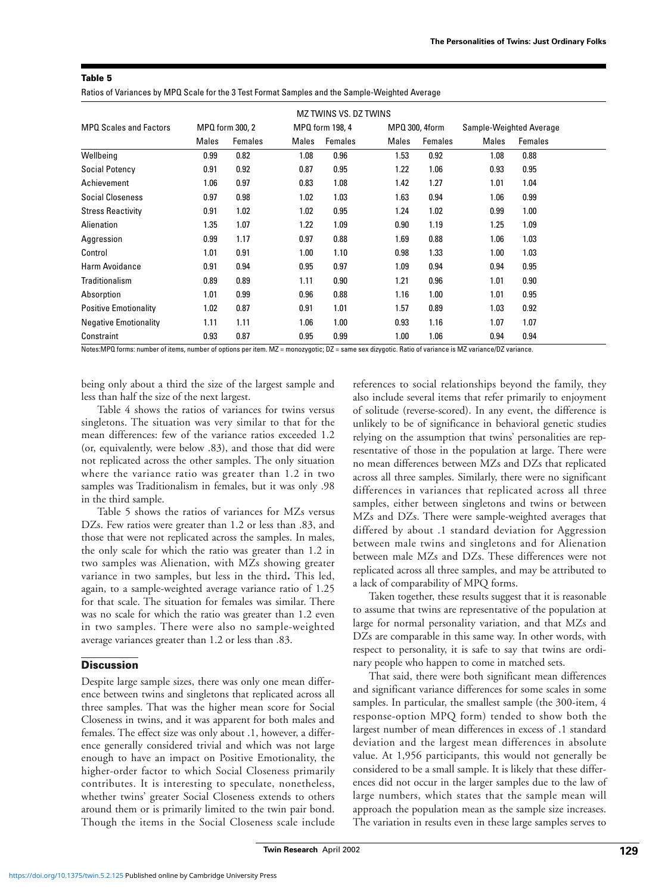#### **Table 5**

Ratios of Variances by MPQ Scale for the 3 Test Format Samples and the Sample-Weighted Average

|                               | MZ TWINS VS. DZ TWINS |         |       |                 |       |                |       |                         |  |
|-------------------------------|-----------------------|---------|-------|-----------------|-------|----------------|-------|-------------------------|--|
| <b>MPQ Scales and Factors</b> | MPQ form 300, 2       |         |       | MPQ form 198, 4 |       | MPQ 300, 4form |       | Sample-Weighted Average |  |
|                               | Males                 | Females | Males | Females         | Males | Females        | Males | Females                 |  |
| Wellbeing                     | 0.99                  | 0.82    | 1.08  | 0.96            | 1.53  | 0.92           | 1.08  | 0.88                    |  |
| Social Potency                | 0.91                  | 0.92    | 0.87  | 0.95            | 1.22  | 1.06           | 0.93  | 0.95                    |  |
| Achievement                   | 1.06                  | 0.97    | 0.83  | 1.08            | 1.42  | 1.27           | 1.01  | 1.04                    |  |
| <b>Social Closeness</b>       | 0.97                  | 0.98    | 1.02  | 1.03            | 1.63  | 0.94           | 1.06  | 0.99                    |  |
| <b>Stress Reactivity</b>      | 0.91                  | 1.02    | 1.02  | 0.95            | 1.24  | 1.02           | 0.99  | 1.00                    |  |
| <b>Alienation</b>             | 1.35                  | 1.07    | 1.22  | 1.09            | 0.90  | 1.19           | 1.25  | 1.09                    |  |
| Aggression                    | 0.99                  | 1.17    | 0.97  | 0.88            | 1.69  | 0.88           | 1.06  | 1.03                    |  |
| Control                       | 1.01                  | 0.91    | 1.00  | 1.10            | 0.98  | 1.33           | 1.00  | 1.03                    |  |
| <b>Harm Avoidance</b>         | 0.91                  | 0.94    | 0.95  | 0.97            | 1.09  | 0.94           | 0.94  | 0.95                    |  |
| Traditionalism                | 0.89                  | 0.89    | 1.11  | 0.90            | 1.21  | 0.96           | 1.01  | 0.90                    |  |
| Absorption                    | 1.01                  | 0.99    | 0.96  | 0.88            | 1.16  | 1.00           | 1.01  | 0.95                    |  |
| <b>Positive Emotionality</b>  | 1.02                  | 0.87    | 0.91  | 1.01            | 1.57  | 0.89           | 1.03  | 0.92                    |  |
| <b>Negative Emotionality</b>  | 1.11                  | 1.11    | 1.06  | 1.00            | 0.93  | 1.16           | 1.07  | 1.07                    |  |
| Constraint                    | 0.93                  | 0.87    | 0.95  | 0.99            | 1.00  | 1.06           | 0.94  | 0.94                    |  |

Notes:MPQ forms: number of items, number of options per item. MZ = monozygotic; DZ = same sex dizygotic. Ratio of variance is MZ variance/DZ variance.

being only about a third the size of the largest sample and less than half the size of the next largest.

Table 4 shows the ratios of variances for twins versus singletons. The situation was very similar to that for the mean differences: few of the variance ratios exceeded 1.2 (or, equivalently, were below .83), and those that did were not replicated across the other samples. The only situation where the variance ratio was greater than 1.2 in two samples was Traditionalism in females, but it was only .98 in the third sample.

Table 5 shows the ratios of variances for MZs versus DZs. Few ratios were greater than 1.2 or less than .83, and those that were not replicated across the samples. In males, the only scale for which the ratio was greater than 1.2 in two samples was Alienation, with MZs showing greater variance in two samples, but less in the third**.** This led, again, to a sample-weighted average variance ratio of 1.25 for that scale. The situation for females was similar. There was no scale for which the ratio was greater than 1.2 even in two samples. There were also no sample-weighted average variances greater than 1.2 or less than .83.

# **Discussion**

Despite large sample sizes, there was only one mean difference between twins and singletons that replicated across all three samples. That was the higher mean score for Social Closeness in twins, and it was apparent for both males and females. The effect size was only about .1, however, a difference generally considered trivial and which was not large enough to have an impact on Positive Emotionality, the higher-order factor to which Social Closeness primarily contributes. It is interesting to speculate, nonetheless, whether twins' greater Social Closeness extends to others around them or is primarily limited to the twin pair bond. Though the items in the Social Closeness scale include

references to social relationships beyond the family, they also include several items that refer primarily to enjoyment of solitude (reverse-scored). In any event, the difference is unlikely to be of significance in behavioral genetic studies relying on the assumption that twins' personalities are representative of those in the population at large. There were no mean differences between MZs and DZs that replicated across all three samples. Similarly, there were no significant differences in variances that replicated across all three samples, either between singletons and twins or between MZs and DZs. There were sample-weighted averages that differed by about .1 standard deviation for Aggression between male twins and singletons and for Alienation between male MZs and DZs. These differences were not replicated across all three samples, and may be attributed to a lack of comparability of MPQ forms.

Taken together, these results suggest that it is reasonable to assume that twins are representative of the population at large for normal personality variation, and that MZs and DZs are comparable in this same way. In other words, with respect to personality, it is safe to say that twins are ordinary people who happen to come in matched sets.

That said, there were both significant mean differences and significant variance differences for some scales in some samples. In particular, the smallest sample (the 300-item, 4 response-option MPQ form) tended to show both the largest number of mean differences in excess of .1 standard deviation and the largest mean differences in absolute value. At 1,956 participants, this would not generally be considered to be a small sample. It is likely that these differences did not occur in the larger samples due to the law of large numbers, which states that the sample mean will approach the population mean as the sample size increases. The variation in results even in these large samples serves to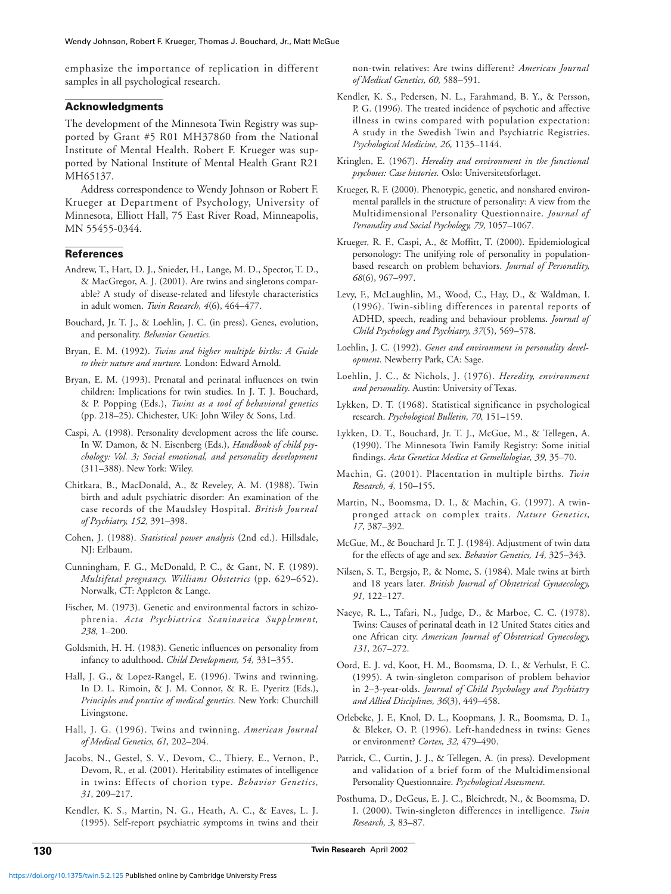emphasize the importance of replication in different samples in all psychological research.

## **Acknowledgments**

The development of the Minnesota Twin Registry was supported by Grant #5 R01 MH37860 from the National Institute of Mental Health. Robert F. Krueger was supported by National Institute of Mental Health Grant R21 MH65137.

Address correspondence to Wendy Johnson or Robert F. Krueger at Department of Psychology, University of Minnesota, Elliott Hall, 75 East River Road, Minneapolis, MN 55455-0344.

#### **References**

- Andrew, T., Hart, D. J., Snieder, H., Lange, M. D., Spector, T. D., & MacGregor, A. J. (2001). Are twins and singletons comparable? A study of disease-related and lifestyle characteristics in adult women. *Twin Research, 4*(6), 464–477.
- Bouchard, Jr. T. J., & Loehlin, J. C. (in press). Genes, evolution, and personality. *Behavior Genetics.*
- Bryan, E. M. (1992). *Twins and higher multiple births: A Guide to their nature and nurture.* London: Edward Arnold.
- Bryan, E. M. (1993). Prenatal and perinatal influences on twin children: Implications for twin studies. In J. T. J. Bouchard, & P. Popping (Eds.), *Twins as a tool of behavioral genetics* (pp. 218–25). Chichester, UK: John Wiley & Sons, Ltd.
- Caspi, A. (1998). Personality development across the life course. In W. Damon, & N. Eisenberg (Eds.), *Handbook of child psychology: Vol. 3; Social emotional, and personality development* (311–388). New York: Wiley.
- Chitkara, B., MacDonald, A., & Reveley, A. M. (1988). Twin birth and adult psychiatric disorder: An examination of the case records of the Maudsley Hospital. *British Journal of Psychiatry, 152,* 391–398.
- Cohen, J. (1988). *Statistical power analysis* (2nd ed.). Hillsdale, NJ: Erlbaum.
- Cunningham, F. G., McDonald, P. C., & Gant, N. F. (1989). *Multifetal pregnancy. Williams Obstetrics* (pp. 629–652). Norwalk, CT: Appleton & Lange.
- Fischer, M. (1973). Genetic and environmental factors in schizophrenia. *Acta Psychiatrica Scaninavica Supplement, 238,* 1–200.
- Goldsmith, H. H. (1983). Genetic influences on personality from infancy to adulthood. *Child Development, 54,* 331–355.
- Hall, J. G., & Lopez-Rangel, E. (1996). Twins and twinning. In D. L. Rimoin, & J. M. Connor, & R. E. Pyeritz (Eds.), *Principles and practice of medical genetics.* New York: Churchill Livingstone.
- Hall, J. G. (1996). Twins and twinning. *American Journal of Medical Genetics, 61,* 202–204.
- Jacobs, N., Gestel, S. V., Devom, C., Thiery, E., Vernon, P., Devom, R., et al. (2001). Heritability estimates of intelligence in twins: Effects of chorion type. *Behavior Genetics, 31*, 209–217.
- Kendler, K. S., Martin, N. G., Heath, A. C., & Eaves, L. J. (1995). Self-report psychiatric symptoms in twins and their

non-twin relatives: Are twins different? *American Journal of Medical Genetics, 60,* 588–591.

- Kendler, K. S., Pedersen, N. L., Farahmand, B. Y., & Persson, P. G. (1996). The treated incidence of psychotic and affective illness in twins compared with population expectation: A study in the Swedish Twin and Psychiatric Registries. *Psychological Medicine, 26,* 1135–1144.
- Kringlen, E. (1967). *Heredity and environment in the functional psychoses: Case histories.* Oslo: Universitetsforlaget.
- Krueger, R. F. (2000). Phenotypic, genetic, and nonshared environmental parallels in the structure of personality: A view from the Multidimensional Personality Questionnaire. *Journal of Personality and Social Psychology, 79,* 1057–1067.
- Krueger, R. F., Caspi, A., & Moffitt, T. (2000). Epidemiological personology: The unifying role of personality in populationbased research on problem behaviors. *Journal of Personality, 68*(6), 967–997.
- Levy, F., McLaughlin, M., Wood, C., Hay, D., & Waldman, I. (1996). Twin-sibling differences in parental reports of ADHD, speech, reading and behaviour problems. *Journal of Child Psychology and Psychiatry, 37*(5), 569–578.
- Loehlin, J. C. (1992). *Genes and environment in personality development*. Newberry Park, CA: Sage.
- Loehlin, J. C., & Nichols, J. (1976). *Heredity, environment and personality*. Austin: University of Texas.
- Lykken, D. T. (1968). Statistical significance in psychological research. *Psychological Bulletin, 70,* 151–159.
- Lykken, D. T., Bouchard, Jr. T. J., McGue, M., & Tellegen, A. (1990). The Minnesota Twin Family Registry: Some initial findings. *Acta Genetica Medica et Gemellologiae, 39,* 35–70.
- Machin, G. (2001). Placentation in multiple births. *Twin Research, 4,* 150–155.
- Martin, N., Boomsma, D. I., & Machin, G. (1997). A twinpronged attack on complex traits. *Nature Genetics, 17*, 387–392.
- McGue, M., & Bouchard Jr. T. J. (1984). Adjustment of twin data for the effects of age and sex. *Behavior Genetics, 14,* 325–343.
- Nilsen, S. T., Bergsjo, P., & Nome, S. (1984). Male twins at birth and 18 years later. *British Journal of Obstetrical Gynaecology, 91,* 122–127.
- Naeye, R. L., Tafari, N., Judge, D., & Marboe, C. C. (1978). Twins: Causes of perinatal death in 12 United States cities and one African city. *American Journal of Obstetrical Gynecology, 131,* 267–272.
- Oord, E. J. vd, Koot, H. M., Boomsma, D. I., & Verhulst, F. C. (1995). A twin-singleton comparison of problem behavior in 2–3-year-olds. *Journal of Child Psychology and Psychiatry and Allied Disciplines, 36*(3), 449–458.
- Orlebeke, J. F., Knol, D. L., Koopmans, J. R., Boomsma, D. I., & Bleker, O. P. (1996). Left-handedness in twins: Genes or environment? *Cortex, 32,* 479–490.
- Patrick, C., Curtin, J. J., & Tellegen, A. (in press). Development and validation of a brief form of the Multidimensional Personality Questionnaire. *Psychological Assessment*.
- Posthuma, D., DeGeus, E. J. C., Bleichredt, N., & Boomsma, D. I. (2000). Twin-singleton differences in intelligence. *Twin Research, 3,* 83–87.